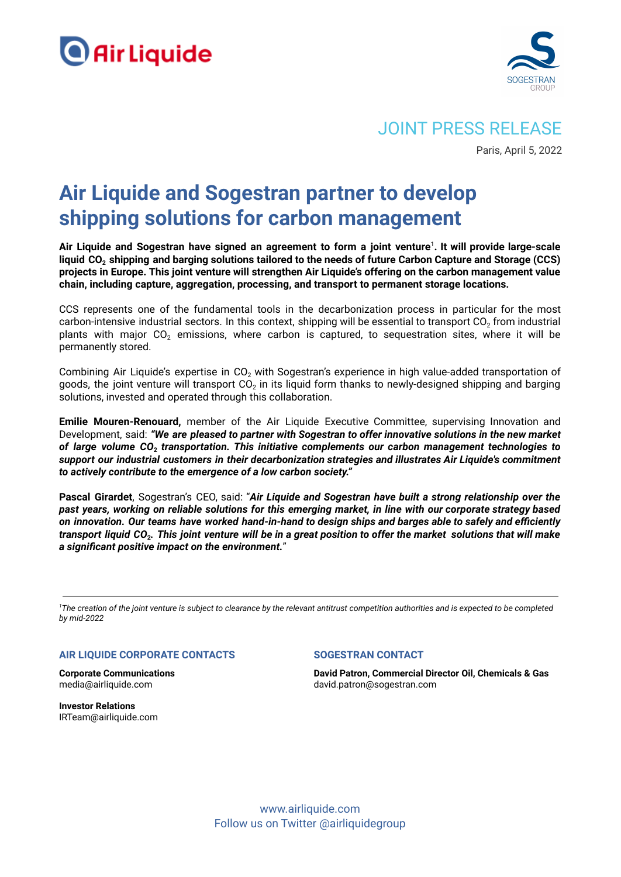



# JOINT PRESS RELEASE

Paris, April 5, 2022

# **Air Liquide and Sogestran partner to develop shipping solutions for carbon management**

Air Liquide and Sogestran have signed an agreement to form a joint venture<sup>1</sup>. It will provide large-scale liquid CO<sub>2</sub> shipping and barging solutions tailored to the needs of future Carbon Capture and Storage (CCS) **projects in Europe. This joint venture will strengthen Air Liquide's offering on the carbon management value chain, including capture, aggregation, processing, and transport to permanent storage locations.**

CCS represents one of the fundamental tools in the decarbonization process in particular for the most carbon-intensive industrial sectors. In this context, shipping will be essential to transport  $CO<sub>2</sub>$  from industrial plants with major  $CO<sub>2</sub>$  emissions, where carbon is captured, to sequestration sites, where it will be permanently stored.

Combining Air Liquide's expertise in  $CO<sub>2</sub>$  with Sogestran's experience in high value-added transportation of goods, the joint venture will transport CO<sub>2</sub> in its liquid form thanks to newly-designed shipping and barging solutions, invested and operated through this collaboration.

**Emilie Mouren-Renouard,** member of the Air Liquide Executive Committee, supervising Innovation and Development, said: *"We are pleased to partner with Sogestran to offer innovative solutions in the new market of large volume CO***<sup>2</sup>** *transportation. This initiative complements our carbon management technologies to support our industrial customers in their decarbonization strategies and illustrates Air Liquide's commitment to actively contribute to the emergence of a low carbon society."*

**Pascal Girardet**, Sogestran's CEO, said: "*Air Liquide and Sogestran have built a strong relationship over the* past years, working on reliable solutions for this emerging market, in line with our corporate strategy based on innovation. Our teams have worked hand-in-hand to design ships and barges able to safely and efficiently transport liquid CO $_{\rm 2}$ . This joint venture will be in a great position to offer the market  $\,$ solutions that will make *a significant positive impact on the environment.*"

<sup>1</sup>The creation of the joint venture is subject to clearance by the relevant antitrust competition authorities and is expected to be completed *by mid-2022*

## **AIR LIQUIDE CORPORATE CONTACTS**

**Corporate Communications** media@airliquide.com

**Investor Relations** IRTeam@airliquide.com

### **SOGESTRAN CONTACT**

**David Patron, Commercial Director Oil, Chemicals & Gas** david.patron@sogestran.com